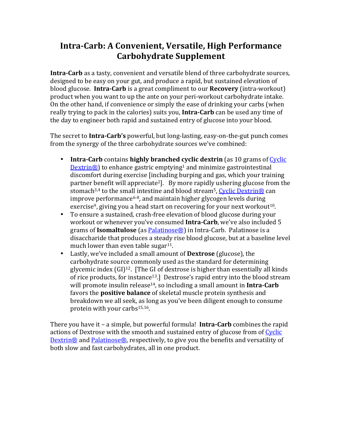## **Intra-Carb: A Convenient, Versatile, High Performance Carbohydrate Supplement**

**Intra-Carb** as a tasty, convenient and versatile blend of three carbohydrate sources, designed to be easy on your gut, and produce a rapid, but sustained elevation of blood glucose. **Intra-Carb** is a great compliment to our **Recovery** (intra-workout) product when you want to up the ante on your peri-workout carbohydrate intake. On the other hand, if convenience or simply the ease of drinking your carbs (when really trying to pack in the calories) suits you, **Intra-Carb** can be used any time of the day to engineer both rapid and sustained entry of glucose into your blood.

The secret to **Intra-Carb's** powerful, but long-lasting, easy-on-the-gut punch comes from the synergy of the three carbohydrate sources we've combined:

- **Intra-Carb** contains **highly branched cyclic dextrin** (as 10 grams of Cyclic  $D$ extrin<sup>®</sup>) to enhance gastric emptying<sup>1</sup> and minimize gastrointestinal discomfort during exercise [including burping and gas, which your training partner benefit will appreciate<sup>2</sup>. By more rapidly ushering glucose from the stomach<sup>3,4</sup> to the small intestine and blood stream<sup>5</sup>, Cyclic Dextrin<sup>®</sup> can  $improve$  performance<sup>6-8</sup>, and maintain higher glycogen levels during exercise<sup>9</sup>, giving you a head start on recovering for your next workout<sup>10</sup>.
- To ensure a sustained, crash-free elevation of blood glucose during your workout or whenever you've consumed **Intra-Carb**, we've also included 5 grams of Isomaltulose (as **Palatinose®**) in Intra-Carb. Palatinose is a disaccharide that produces a steady rise blood glucose, but at a baseline level much lower than even table sugar $11$ .
- Lastly, we've included a small amount of **Dextrose** (glucose), the carbohydrate source commonly used as the standard for determining glycemic index  $(GI)^{12}$ . [The GI of dextrose is higher than essentially all kinds of rice products, for instance<sup>13</sup>.] Dextrose's rapid entry into the blood stream will promote insulin release<sup>14</sup>, so including a small amount in **Intra-Carb** favors the **positive balance** of skeletal muscle protein synthesis and breakdown we all seek, as long as you've been diligent enough to consume protein with your carbs<sup>15,16</sup>.

There you have it - a simple, but powerful formula! **Intra-Carb** combines the rapid actions of Dextrose with the smooth and sustained entry of glucose from of Cyclic Dextrin<sup>®</sup> and Palatinose<sup>®</sup>, respectively, to give you the benefits and versatility of both slow and fast carbohydrates, all in one product.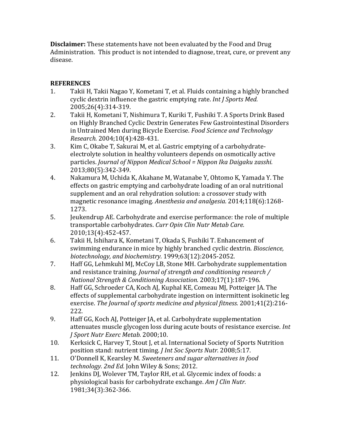**Disclaimer:** These statements have not been evaluated by the Food and Drug Administration. This product is not intended to diagnose, treat, cure, or prevent any disease.

## **REFERENCES**

- 1. Takii H, Takii Nagao Y, Kometani T, et al. Fluids containing a highly branched cyclic dextrin influence the gastric emptying rate. *Int J Sports Med.* 2005;26(4):314-319.
- 2. Takii H, Kometani T, Nishimura T, Kuriki T, Fushiki T. A Sports Drink Based on Highly Branched Cyclic Dextrin Generates Few Gastrointestinal Disorders in Untrained Men during Bicycle Exercise. *Food Science and Technology Research.* 2004;10(4):428-431.
- 3. Kim C, Okabe T, Sakurai M, et al. Gastric emptying of a carbohydrateelectrolyte solution in healthy volunteers depends on osmotically active particles. *Journal of Nippon Medical School* = Nippon Ika Daigaku zasshi. 2013;80(5):342-349.
- 4. Nakamura M, Uchida K, Akahane M, Watanabe Y, Ohtomo K, Yamada Y. The effects on gastric emptying and carbohydrate loading of an oral nutritional supplement and an oral rehydration solution: a crossover study with magnetic resonance imaging. *Anesthesia and analgesia*. 2014;118(6):1268-1273.
- 5. Jeukendrup AE. Carbohydrate and exercise performance: the role of multiple transportable carbohydrates. *Curr Opin Clin Nutr Metab Care.* 2010;13(4):452-457.
- 6. Takii H, Ishihara K, Kometani T, Okada S, Fushiki T. Enhancement of swimming endurance in mice by highly branched cyclic dextrin. *Bioscience*, *biotechnology, and biochemistry.* 1999;63(12):2045-2052.
- 7. Haff GG, Lehmkuhl MJ, McCoy LB, Stone MH. Carbohydrate supplementation and resistance training. *Journal of strength and conditioning research* / *National Strength & Conditioning Association.* 2003;17(1):187-196.
- 8. Haff GG, Schroeder CA, Koch AJ, Kuphal KE, Comeau MJ, Potteiger JA. The effects of supplemental carbohydrate ingestion on intermittent isokinetic leg exercise. The Journal of sports medicine and physical fitness. 2001;41(2):216-222.
- 9. Haff GG, Koch AJ, Potteiger JA, et al. Carbohydrate supplementation attenuates muscle glycogen loss during acute bouts of resistance exercise. *Int J Sport Nutr Exerc Metab.* 2000;10.
- 10. Kerksick C, Harvey T, Stout J, et al. International Society of Sports Nutrition position stand: nutrient timing. *J Int Soc Sports Nutr.* 2008;5:17.
- 11. O'Donnell K, Kearsley M. *Sweeteners and sugar alternatives in food technology. 2nd Ed.* John Wiley & Sons; 2012.
- 12. Jenkins DJ, Wolever TM, Taylor RH, et al. Glycemic index of foods: a physiological basis for carbohydrate exchange. *Am J Clin Nutr.* 1981;34(3):362-366.